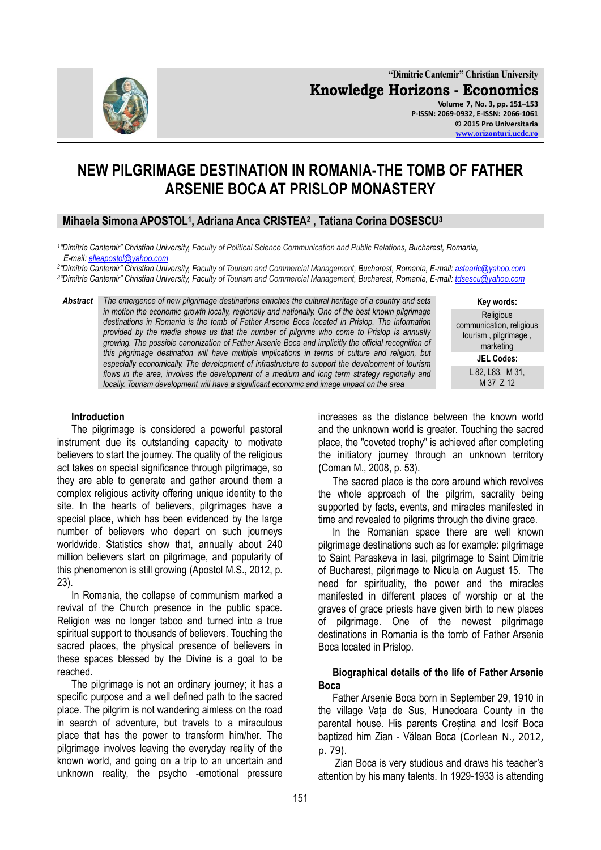

**"Dimitrie Cantemir" Christian University Knowledge Horizons - Economics Volume 7, No. 3, pp. 151–153 P-ISSN: 2069-0932, E-ISSN: 2066-1061 © 2015 Pro Universitaria [www.orizonturi.ucdc.ro](http://www.orizonturi.ucdc.ro/)**

# **NEW PILGRIMAGE DESTINATION IN ROMANIA-THE TOMB OF FATHER ARSENIE BOCA AT PRISLOP MONASTERY**

# **Mihaela Simona APOSTOL<sup>1</sup> , Adriana Anca CRISTEA<sup>2</sup> , Tatiana Corina DOSESCU<sup>3</sup>**

*1 "Dimitrie Cantemir" Christian University, Faculty of Political Science Communication and Public Relations, Bucharest, Romania, E-mail: [elleapostol@yahoo.com](mailto:elleapostol@yahoo.com)*

*2 "Dimitrie Cantemir" Christian University, Faculty of Tourism and Commercial Management, Bucharest, Romania, E-mail: [astearic@yahoo.com](mailto:astearic@yahoo.com) 3 "Dimitrie Cantemir" Christian University, Faculty of Tourism and Commercial Management, Bucharest, Romania, E-mail: [tdsescu@yahoo.com](mailto:tdsescu@yahoo.com)*

*Abstract The emergence of new pilgrimage destinations enriches the cultural heritage of a country and sets in motion the economic growth locally, regionally and nationally. One of the best known pilgrimage destinations in Romania is the tomb of Father Arsenie Boca located in Prislop. The information provided by the media shows us that the number of pilgrims who come to Prislop is annually growing. The possible canonization of Father Arsenie Boca and implicitly the official recognition of this pilgrimage destination will have multiple implications in terms of culture and religion, but especially economically. The development of infrastructure to support the development of tourism*  flows in the area, involves the development of a medium and long term strategy regionally and *locally. Tourism development will have a significant economic and image impact on the area*

**Key words:** Religious communication, religious tourism , pilgrimage , marketing **JEL Codes:**

L 82, L83, M 31, M 37 Z 12

#### **Introduction**

The pilgrimage is considered a powerful pastoral instrument due its outstanding capacity to motivate believers to start the journey. The quality of the religious act takes on special significance through pilgrimage, so they are able to generate and gather around them a complex religious activity offering unique identity to the site. In the hearts of believers, pilgrimages have a special place, which has been evidenced by the large number of believers who depart on such journeys worldwide. Statistics show that, annually about 240 million believers start on pilgrimage, and popularity of this phenomenon is still growing (Apostol M.S., 2012, p. 23).

In Romania, the collapse of communism marked a revival of the Church presence in the public space. Religion was no longer taboo and turned into a true spiritual support to thousands of believers. Touching the sacred places, the physical presence of believers in these spaces blessed by the Divine is a goal to be reached.

The pilgrimage is not an ordinary journey; it has a specific purpose and a well defined path to the sacred place. The pilgrim is not wandering aimless on the road in search of adventure, but travels to a miraculous place that has the power to transform him/her. The pilgrimage involves leaving the everyday reality of the known world, and going on a trip to an uncertain and unknown reality, the psycho -emotional pressure

increases as the distance between the known world and the unknown world is greater. Touching the sacred place, the "coveted trophy" is achieved after completing the initiatory journey through an unknown territory (Coman M., 2008, p. 53).

The sacred place is the core around which revolves the whole approach of the pilgrim, sacrality being supported by facts, events, and miracles manifested in time and revealed to pilgrims through the divine grace.

In the Romanian space there are well known pilgrimage destinations such as for example: pilgrimage to Saint Paraskeva in Iasi, pilgrimage to Saint Dimitrie of Bucharest, pilgrimage to Nicula on August 15. The need for spirituality, the power and the miracles manifested in different places of worship or at the graves of grace priests have given birth to new places of pilgrimage. One of the newest pilgrimage destinations in Romania is the tomb of Father Arsenie Boca located in Prislop.

#### **Biographical details of the life of Father Arsenie Boca**

Father Arsenie Boca born in September 29, 1910 in the village Vața de Sus, Hunedoara County in the parental house. His parents Creștina and Iosif Boca baptized him Zian - Vălean Boca (Corlean N., 2012, p. 79).

Zian Boca is very studious and draws his teacher's attention by his many talents. In 1929-1933 is attending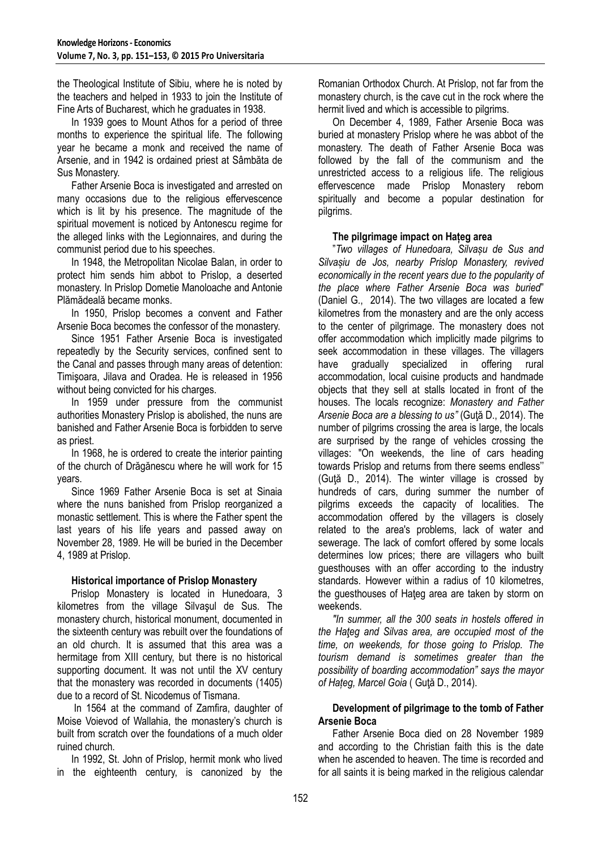the Theological Institute of Sibiu, where he is noted by the teachers and helped in 1933 to join the Institute of Fine Arts of Bucharest, which he graduates in 1938.

In 1939 goes to Mount Athos for a period of three months to experience the spiritual life. The following year he became a monk and received the name of Arsenie, and in 1942 is ordained priest at Sâmbăta de Sus Monastery.

Father Arsenie Boca is investigated and arrested on many occasions due to the religious effervescence which is lit by his presence. The magnitude of the spiritual movement is noticed by Antonescu regime for the alleged links with the Legionnaires, and during the communist period due to his speeches.

In 1948, the Metropolitan Nicolae Balan, in order to protect him sends him abbot to Prislop, a deserted monastery. In Prislop Dometie Manoloache and Antonie Plămădeală became monks.

In 1950, Prislop becomes a convent and Father Arsenie Boca becomes the confessor of the monastery.

Since 1951 Father Arsenie Boca is investigated repeatedly by the Security services, confined sent to the Canal and passes through many areas of detention: Timişoara, Jilava and Oradea. He is released in 1956 without being convicted for his charges.

In 1959 under pressure from the communist authorities Monastery Prislop is abolished, the nuns are banished and Father Arsenie Boca is forbidden to serve as priest.

In 1968, he is ordered to create the interior painting of the church of Drăgănescu where he will work for 15 years.

Since 1969 Father Arsenie Boca is set at Sinaia where the nuns banished from Prislop reorganized a monastic settlement. This is where the Father spent the last years of his life years and passed away on November 28, 1989. He will be buried in the December 4, 1989 at Prislop.

# **Historical importance of Prislop Monastery**

Prislop Monastery is located in Hunedoara, 3 kilometres from the village Silvaşul de Sus. The monastery church, historical monument, documented in the sixteenth century was rebuilt over the foundations of an old church. It is assumed that this area was a hermitage from XIII century, but there is no historical supporting document. It was not until the XV century that the monastery was recorded in documents (1405) due to a record of St. Nicodemus of Tismana.

In 1564 at the command of Zamfira, daughter of Moise Voievod of Wallahia, the monastery's church is built from scratch over the foundations of a much older ruined church.

In 1992, St. John of Prislop, hermit monk who lived in the eighteenth century, is canonized by the

Romanian Orthodox Church. At Prislop, not far from the monastery church, is the cave cut in the rock where the hermit lived and which is accessible to pilgrims.

On December 4, 1989, Father Arsenie Boca was buried at monastery Prislop where he was abbot of the monastery. The death of Father Arsenie Boca was followed by the fall of the communism and the unrestricted access to a religious life. The religious effervescence made Prislop Monastery reborn spiritually and become a popular destination for pilgrims.

# **The pilgrimage impact on Hațeg area**

"*Two villages of Hunedoara, Silvașu de Sus and Silvașiu de Jos, nearby Prislop Monastery, revived economically in the recent years due to the popularity of the place where Father Arsenie Boca was buried*" (Daniel G., 2014). The two villages are located a few kilometres from the monastery and are the only access to the center of pilgrimage. The monastery does not offer accommodation which implicitly made pilgrims to seek accommodation in these villages. The villagers have gradually specialized in offering rural accommodation, local cuisine products and handmade objects that they sell at stalls located in front of the houses. The locals recognize: *Monastery and Father Arsenie Boca are a blessing to us"* (Guţă D., 2014). The number of pilgrims crossing the area is large, the locals are surprised by the range of vehicles crossing the villages: "On weekends, the line of cars heading towards Prislop and returns from there seems endless'' (Gută D., 2014). The winter village is crossed by hundreds of cars, during summer the number of pilgrims exceeds the capacity of localities. The accommodation offered by the villagers is closely related to the area's problems, lack of water and sewerage. The lack of comfort offered by some locals determines low prices; there are villagers who built guesthouses with an offer according to the industry standards. However within a radius of 10 kilometres, the questhouses of Hateg area are taken by storm on weekends.

*"In summer, all the 300 seats in hostels offered in the Haţeg and Silvas area, are occupied most of the time, on weekends, for those going to Prislop. The tourism demand is sometimes greater than the possibility of boarding accommodation" says the mayor of Hațeg, Marcel Goia* ( Guţă D., 2014).

#### **Development of pilgrimage to the tomb of Father Arsenie Boca**

Father Arsenie Boca died on 28 November 1989 and according to the Christian faith this is the date when he ascended to heaven. The time is recorded and for all saints it is being marked in the religious calendar